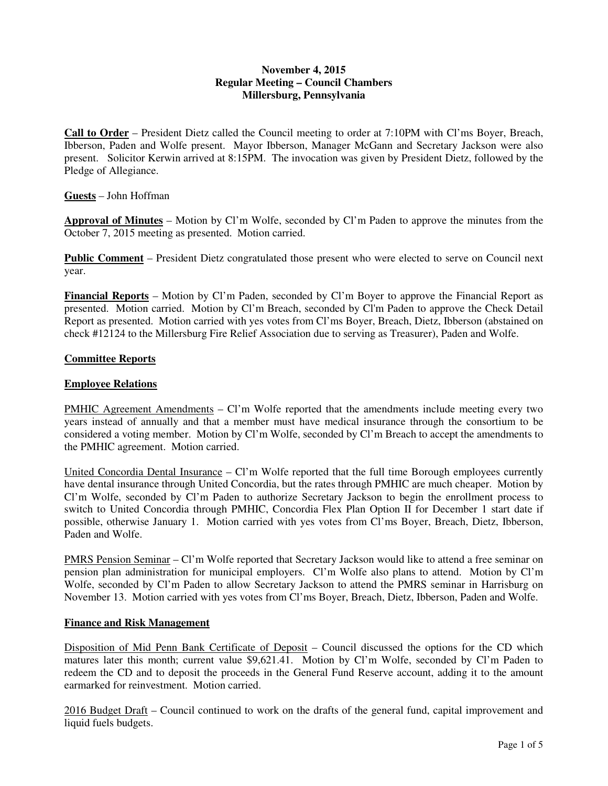## **November 4, 2015 Regular Meeting – Council Chambers Millersburg, Pennsylvania**

**Call to Order** – President Dietz called the Council meeting to order at 7:10PM with Cl'ms Boyer, Breach, Ibberson, Paden and Wolfe present. Mayor Ibberson, Manager McGann and Secretary Jackson were also present. Solicitor Kerwin arrived at 8:15PM. The invocation was given by President Dietz, followed by the Pledge of Allegiance.

**Guests** – John Hoffman

**Approval of Minutes** – Motion by Cl'm Wolfe, seconded by Cl'm Paden to approve the minutes from the October 7, 2015 meeting as presented. Motion carried.

**Public Comment** – President Dietz congratulated those present who were elected to serve on Council next year.

**Financial Reports** – Motion by Cl'm Paden, seconded by Cl'm Boyer to approve the Financial Report as presented. Motion carried. Motion by Cl'm Breach, seconded by Cl'm Paden to approve the Check Detail Report as presented. Motion carried with yes votes from Cl'ms Boyer, Breach, Dietz, Ibberson (abstained on check #12124 to the Millersburg Fire Relief Association due to serving as Treasurer), Paden and Wolfe.

## **Committee Reports**

# **Employee Relations**

PMHIC Agreement Amendments – Cl'm Wolfe reported that the amendments include meeting every two years instead of annually and that a member must have medical insurance through the consortium to be considered a voting member. Motion by Cl'm Wolfe, seconded by Cl'm Breach to accept the amendments to the PMHIC agreement. Motion carried.

United Concordia Dental Insurance – Cl'm Wolfe reported that the full time Borough employees currently have dental insurance through United Concordia, but the rates through PMHIC are much cheaper. Motion by Cl'm Wolfe, seconded by Cl'm Paden to authorize Secretary Jackson to begin the enrollment process to switch to United Concordia through PMHIC, Concordia Flex Plan Option II for December 1 start date if possible, otherwise January 1. Motion carried with yes votes from Cl'ms Boyer, Breach, Dietz, Ibberson, Paden and Wolfe.

PMRS Pension Seminar – Cl'm Wolfe reported that Secretary Jackson would like to attend a free seminar on pension plan administration for municipal employers. Cl'm Wolfe also plans to attend. Motion by Cl'm Wolfe, seconded by Cl'm Paden to allow Secretary Jackson to attend the PMRS seminar in Harrisburg on November 13. Motion carried with yes votes from Cl'ms Boyer, Breach, Dietz, Ibberson, Paden and Wolfe.

## **Finance and Risk Management**

Disposition of Mid Penn Bank Certificate of Deposit – Council discussed the options for the CD which matures later this month; current value \$9,621.41. Motion by Cl'm Wolfe, seconded by Cl'm Paden to redeem the CD and to deposit the proceeds in the General Fund Reserve account, adding it to the amount earmarked for reinvestment. Motion carried.

2016 Budget Draft – Council continued to work on the drafts of the general fund, capital improvement and liquid fuels budgets.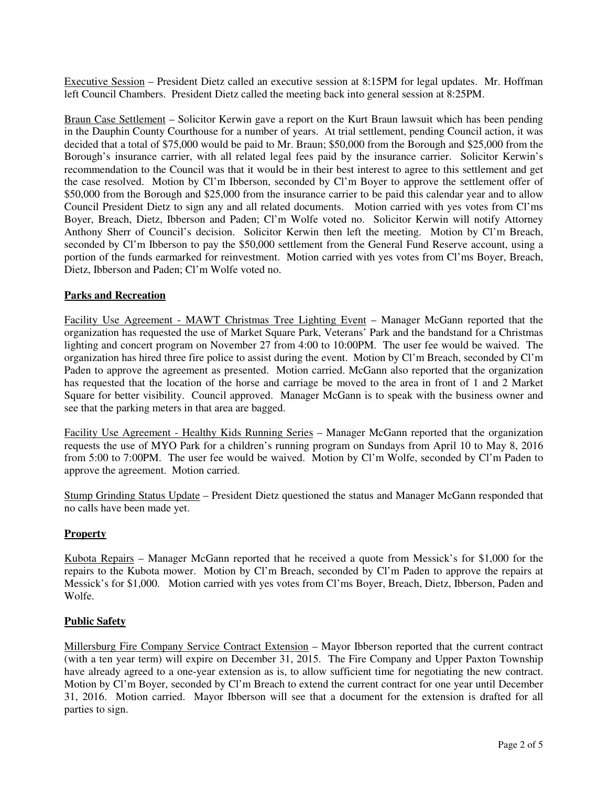Executive Session – President Dietz called an executive session at 8:15PM for legal updates. Mr. Hoffman left Council Chambers. President Dietz called the meeting back into general session at 8:25PM.

Braun Case Settlement – Solicitor Kerwin gave a report on the Kurt Braun lawsuit which has been pending in the Dauphin County Courthouse for a number of years. At trial settlement, pending Council action, it was decided that a total of \$75,000 would be paid to Mr. Braun; \$50,000 from the Borough and \$25,000 from the Borough's insurance carrier, with all related legal fees paid by the insurance carrier. Solicitor Kerwin's recommendation to the Council was that it would be in their best interest to agree to this settlement and get the case resolved. Motion by Cl'm Ibberson, seconded by Cl'm Boyer to approve the settlement offer of \$50,000 from the Borough and \$25,000 from the insurance carrier to be paid this calendar year and to allow Council President Dietz to sign any and all related documents. Motion carried with yes votes from Cl'ms Boyer, Breach, Dietz, Ibberson and Paden; Cl'm Wolfe voted no. Solicitor Kerwin will notify Attorney Anthony Sherr of Council's decision. Solicitor Kerwin then left the meeting. Motion by Cl'm Breach, seconded by Cl'm Ibberson to pay the \$50,000 settlement from the General Fund Reserve account, using a portion of the funds earmarked for reinvestment. Motion carried with yes votes from Cl'ms Boyer, Breach, Dietz, Ibberson and Paden; Cl'm Wolfe voted no.

## **Parks and Recreation**

Facility Use Agreement - MAWT Christmas Tree Lighting Event – Manager McGann reported that the organization has requested the use of Market Square Park, Veterans' Park and the bandstand for a Christmas lighting and concert program on November 27 from 4:00 to 10:00PM. The user fee would be waived. The organization has hired three fire police to assist during the event. Motion by Cl'm Breach, seconded by Cl'm Paden to approve the agreement as presented. Motion carried. McGann also reported that the organization has requested that the location of the horse and carriage be moved to the area in front of 1 and 2 Market Square for better visibility. Council approved. Manager McGann is to speak with the business owner and see that the parking meters in that area are bagged.

Facility Use Agreement - Healthy Kids Running Series – Manager McGann reported that the organization requests the use of MYO Park for a children's running program on Sundays from April 10 to May 8, 2016 from 5:00 to 7:00PM. The user fee would be waived. Motion by Cl'm Wolfe, seconded by Cl'm Paden to approve the agreement. Motion carried.

Stump Grinding Status Update – President Dietz questioned the status and Manager McGann responded that no calls have been made yet.

#### **Property**

Kubota Repairs – Manager McGann reported that he received a quote from Messick's for \$1,000 for the repairs to the Kubota mower. Motion by Cl'm Breach, seconded by Cl'm Paden to approve the repairs at Messick's for \$1,000. Motion carried with yes votes from Cl'ms Boyer, Breach, Dietz, Ibberson, Paden and Wolfe.

### **Public Safety**

Millersburg Fire Company Service Contract Extension – Mayor Ibberson reported that the current contract (with a ten year term) will expire on December 31, 2015. The Fire Company and Upper Paxton Township have already agreed to a one-year extension as is, to allow sufficient time for negotiating the new contract. Motion by Cl'm Boyer, seconded by Cl'm Breach to extend the current contract for one year until December 31, 2016. Motion carried. Mayor Ibberson will see that a document for the extension is drafted for all parties to sign.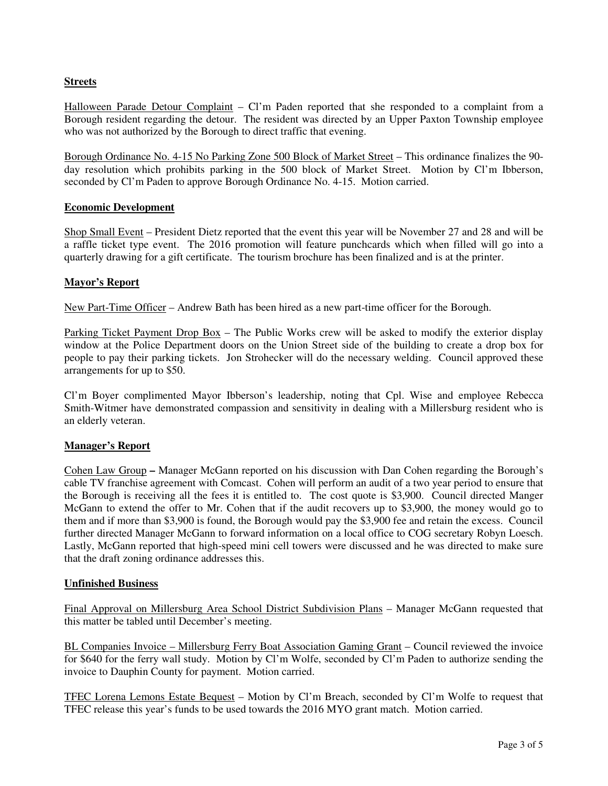# **Streets**

Halloween Parade Detour Complaint – Cl'm Paden reported that she responded to a complaint from a Borough resident regarding the detour. The resident was directed by an Upper Paxton Township employee who was not authorized by the Borough to direct traffic that evening.

Borough Ordinance No. 4-15 No Parking Zone 500 Block of Market Street – This ordinance finalizes the 90 day resolution which prohibits parking in the 500 block of Market Street. Motion by Cl'm Ibberson, seconded by Cl'm Paden to approve Borough Ordinance No. 4-15. Motion carried.

### **Economic Development**

Shop Small Event – President Dietz reported that the event this year will be November 27 and 28 and will be a raffle ticket type event. The 2016 promotion will feature punchcards which when filled will go into a quarterly drawing for a gift certificate. The tourism brochure has been finalized and is at the printer.

## **Mayor's Report**

New Part-Time Officer – Andrew Bath has been hired as a new part-time officer for the Borough.

Parking Ticket Payment Drop Box – The Public Works crew will be asked to modify the exterior display window at the Police Department doors on the Union Street side of the building to create a drop box for people to pay their parking tickets. Jon Strohecker will do the necessary welding. Council approved these arrangements for up to \$50.

Cl'm Boyer complimented Mayor Ibberson's leadership, noting that Cpl. Wise and employee Rebecca Smith-Witmer have demonstrated compassion and sensitivity in dealing with a Millersburg resident who is an elderly veteran.

## **Manager's Report**

Cohen Law Group **–** Manager McGann reported on his discussion with Dan Cohen regarding the Borough's cable TV franchise agreement with Comcast. Cohen will perform an audit of a two year period to ensure that the Borough is receiving all the fees it is entitled to. The cost quote is \$3,900. Council directed Manger McGann to extend the offer to Mr. Cohen that if the audit recovers up to \$3,900, the money would go to them and if more than \$3,900 is found, the Borough would pay the \$3,900 fee and retain the excess. Council further directed Manager McGann to forward information on a local office to COG secretary Robyn Loesch. Lastly, McGann reported that high-speed mini cell towers were discussed and he was directed to make sure that the draft zoning ordinance addresses this.

#### **Unfinished Business**

Final Approval on Millersburg Area School District Subdivision Plans – Manager McGann requested that this matter be tabled until December's meeting.

BL Companies Invoice – Millersburg Ferry Boat Association Gaming Grant – Council reviewed the invoice for \$640 for the ferry wall study. Motion by Cl'm Wolfe, seconded by Cl'm Paden to authorize sending the invoice to Dauphin County for payment. Motion carried.

TFEC Lorena Lemons Estate Bequest – Motion by Cl'm Breach, seconded by Cl'm Wolfe to request that TFEC release this year's funds to be used towards the 2016 MYO grant match. Motion carried.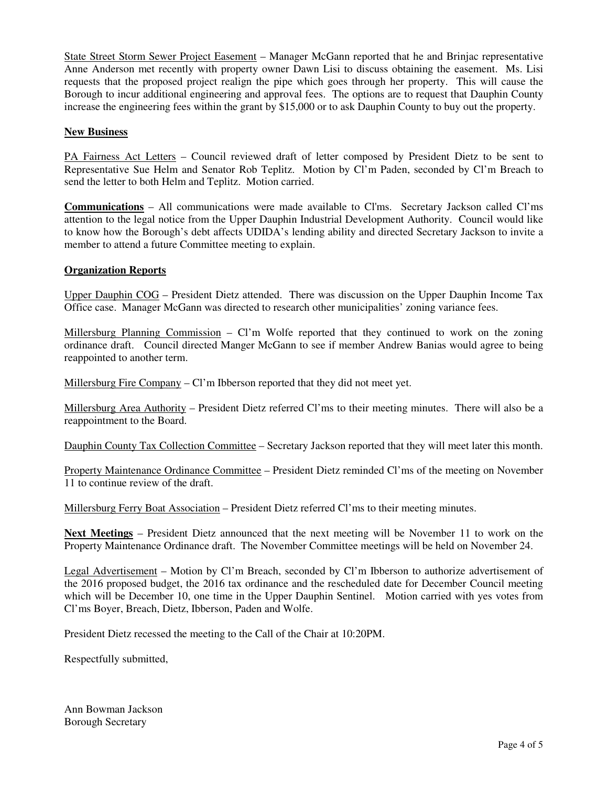State Street Storm Sewer Project Easement – Manager McGann reported that he and Brinjac representative Anne Anderson met recently with property owner Dawn Lisi to discuss obtaining the easement. Ms. Lisi requests that the proposed project realign the pipe which goes through her property. This will cause the Borough to incur additional engineering and approval fees. The options are to request that Dauphin County increase the engineering fees within the grant by \$15,000 or to ask Dauphin County to buy out the property.

## **New Business**

PA Fairness Act Letters – Council reviewed draft of letter composed by President Dietz to be sent to Representative Sue Helm and Senator Rob Teplitz. Motion by Cl'm Paden, seconded by Cl'm Breach to send the letter to both Helm and Teplitz. Motion carried.

**Communications** – All communications were made available to Cl'ms. Secretary Jackson called Cl'ms attention to the legal notice from the Upper Dauphin Industrial Development Authority. Council would like to know how the Borough's debt affects UDIDA's lending ability and directed Secretary Jackson to invite a member to attend a future Committee meeting to explain.

### **Organization Reports**

Upper Dauphin COG – President Dietz attended. There was discussion on the Upper Dauphin Income Tax Office case. Manager McGann was directed to research other municipalities' zoning variance fees.

Millersburg Planning Commission – Cl'm Wolfe reported that they continued to work on the zoning ordinance draft. Council directed Manger McGann to see if member Andrew Banias would agree to being reappointed to another term.

Millersburg Fire Company  $-Cl<sup>+</sup>$  m Ibberson reported that they did not meet yet.

Millersburg Area Authority – President Dietz referred Cl'ms to their meeting minutes. There will also be a reappointment to the Board.

Dauphin County Tax Collection Committee – Secretary Jackson reported that they will meet later this month.

Property Maintenance Ordinance Committee – President Dietz reminded Cl'ms of the meeting on November 11 to continue review of the draft.

Millersburg Ferry Boat Association – President Dietz referred Cl'ms to their meeting minutes.

**Next Meetings** – President Dietz announced that the next meeting will be November 11 to work on the Property Maintenance Ordinance draft. The November Committee meetings will be held on November 24.

Legal Advertisement – Motion by Cl'm Breach, seconded by Cl'm Ibberson to authorize advertisement of the 2016 proposed budget, the 2016 tax ordinance and the rescheduled date for December Council meeting which will be December 10, one time in the Upper Dauphin Sentinel. Motion carried with yes votes from Cl'ms Boyer, Breach, Dietz, Ibberson, Paden and Wolfe.

President Dietz recessed the meeting to the Call of the Chair at 10:20PM.

Respectfully submitted,

Ann Bowman Jackson Borough Secretary